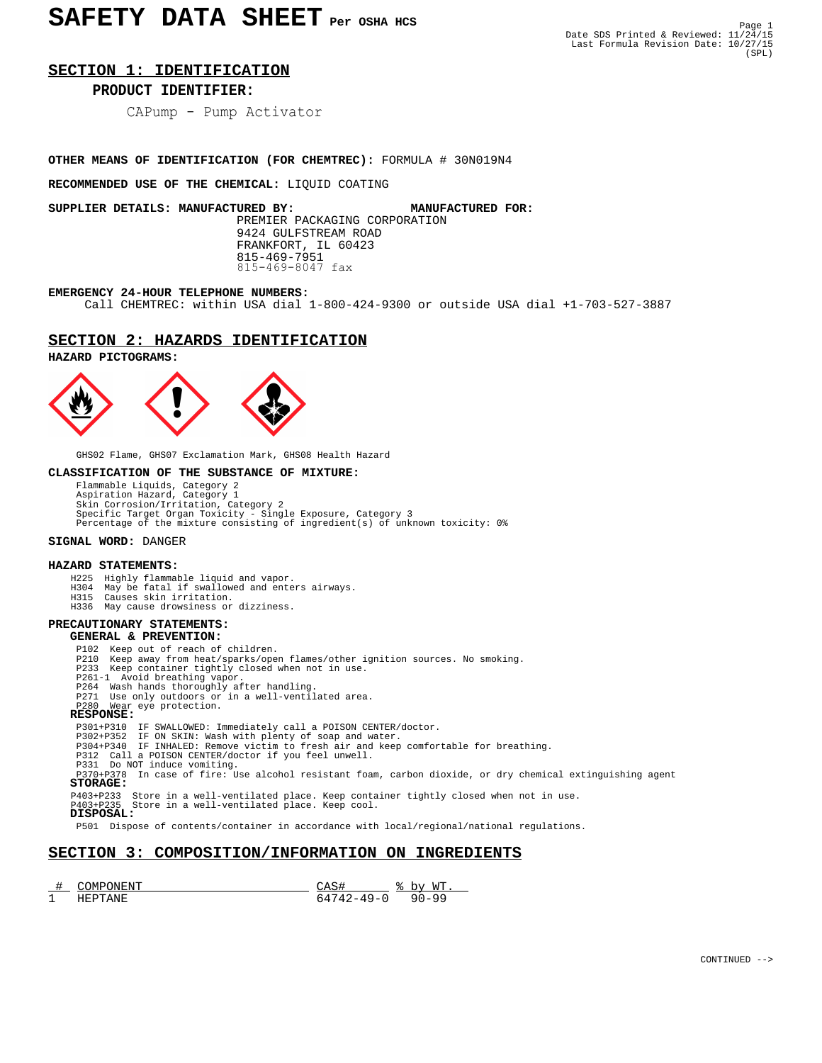### **SECTION 1: IDENTIFICATION**

### **PRODUCT IDENTIFIER:** Ĩ,

CAPump - Pump Activator

### **OTHER MEANS OF IDENTIFICATION (FOR CHEMTREC):** FORMULA # 30N019N4

**RECOMMENDED USE OF THE CHEMICAL:** LIQUID COATING

**SUPPLIER DETAILS: MANUFACTURED BY: MANUFACTURED FOR:** PREMIER PACKAGING CORPORATION 9424 GULFSTREAM ROAD FRANKFORT, IL 60423 815-469-7951 815-469-8047 fax

### **EMERGENCY 24-HOUR TELEPHONE NUMBERS:**

Call CHEMTREC: within USA dial 1-800-424-9300 or outside USA dial +1-703-527-3887

### **SECTION 2: HAZARDS IDENTIFICATION**

**HAZARD PICTOGRAMS:**



GHS02 Flame, GHS07 Exclamation Mark, GHS08 Health Hazard

### **CLASSIFICATION OF THE SUBSTANCE OF MIXTURE:**

Flammable Liquids, Category 2<br>Aspiration Hazard, Category 1<br>Skin Corrosion/Irritation, Category 2<br>Specific Target Organ Toxicity - Single Exposure, Category 3<br>Percentage of the mixture consisting of ingredient(s) of unknow

### **SIGNAL WORD:** DANGER

### **HAZARD STATEMENTS:**

- 
- H225 Highly flammable liquid and vapor. H304 May be fatal if swallowed and enters airways.
	- H315 Causes skin irritation. H336 May cause drowsiness or dizziness.

### **PRECAUTIONARY STATEMENTS:**

### **GENERAL & PREVENTION:**

P102 Keep out of reach of children.

- P210 Keep away from heat/sparks/open flames/other ignition sources. No smoking.
- P233 Keep container tightly closed when not in use. P261-1 Avoid breathing vapor.
	-
	- P264 Wash hands thoroughly after handling.
- P271 Use only outdoors or in a well-ventilated area. P280 Wear eye protection.

### **RESPONSE:**

- P301+P310 IF SWALLOWED: Immediately call a POISON CENTER/doctor. P302+P352 IF ON SKIN: Wash with plenty of soap and water. P304+P340 IF INHALED: Remove victim to fresh air and keep comfortable for breathing.
	-
	-

P312 Call a POISON CENTER/doctor if you feel unwell.<br>P331 Do NOT induce vomiting.<br>P370+P378 In case of fire: Use alcohol resistant foam, carbon dioxide, or dry chemical extinguishing agent  **STORAGE:**

P403+P233 Store in a well-ventilated place. Keep container tightly closed when not in use. P403+P235 Store in a well-ventilated place. Keep cool.

```
 DISPOSAL:
```
P501 Dispose of contents/container in accordance with local/regional/national regulations.

### **SECTION 3: COMPOSITION/INFORMATION ON INGREDIENTS**

|        | DN F.N.<br>INI DI |      | <b>MT</b><br>∕ ירי<br>- |
|--------|-------------------|------|-------------------------|
| ٠<br>ᅩ |                   | $-1$ |                         |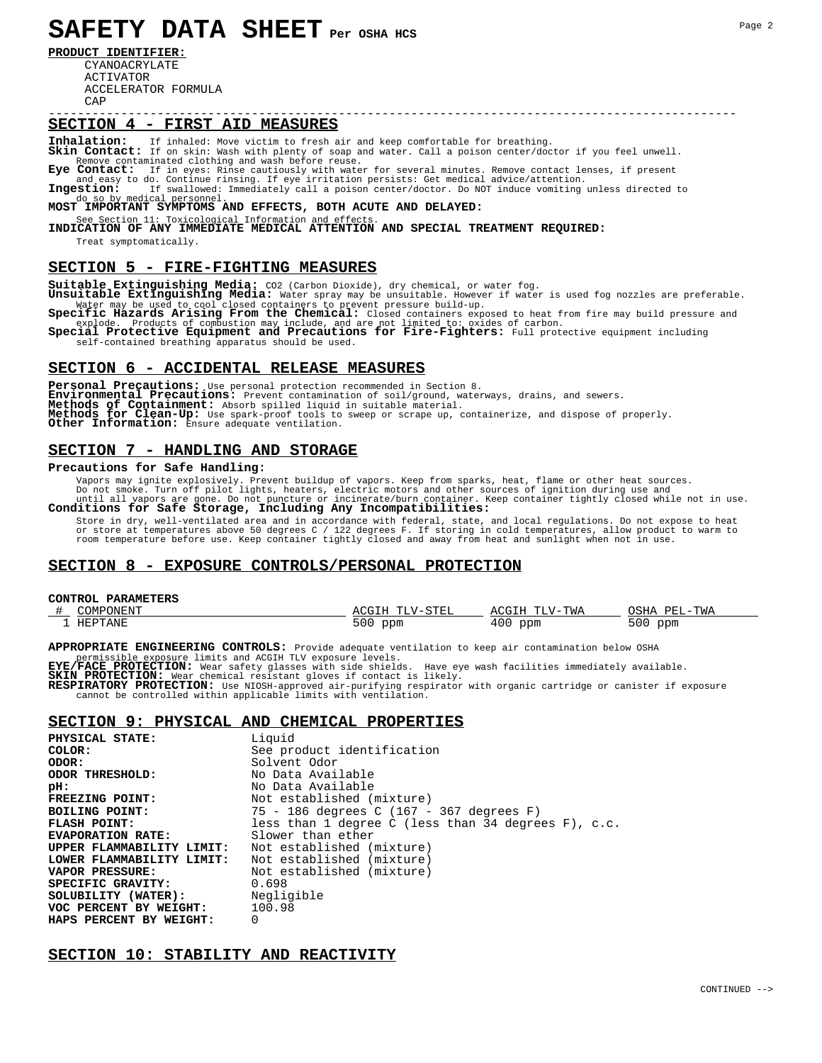**PRODUCT IDENTIFIER:**

 CYANOACRYLATE ACTIVATOR ACCELERATOR FORMULA  $CAD$ 

# ----------------------------------------------------------------------------------------------- **SECTION 4 - FIRST AID MEASURES**

**Inhalation:** If inhaled: Move victim to fresh air and keep comfortable for breathing. **Skin Contact:** If on skin: Wash with plenty of soap and water. Call a poison center/doctor if you feel unwell. Remove contaminated clothing and wash before reuse.<br>**Eye Contact:** If in eyes: Rinse cautiously with wate **Eye Contact:** If in eyes: Rinse cautiously with water for several minutes. Remove contact lenses, if present

and easy to do. Continue rinsing. If eye irritation persists: Get medical advice/attention.<br> **Ingestion:** If swallowed: Immediately call a poison center/doctor. Do NOT induce vomiting unless directed to do so by medical pe

## do so by medical personnel.<br>**MOST IMPORTANT SYMPTOMS AND EFFECTS, BOTH ACUTE AND DELAYED:**

See Section 11: Toxicological Information and effects.<br>**INDICATION OF ANY IMMEDIATE MEDICAL ATTENTION AND SPECIAL TREATMENT REQUIRED:** Treat symptomatically.

### **SECTION 5 - FIRE-FIGHTING MEASURES**

**Suitable Extinguishing Media:** CO2 (Carbon Dioxide), dry chemical, or water fog. **Unsuitable Extinguishing Media:** Water spray may be unsuitable. However if water is used fog nozzles are preferable.

Water may be used to cool closed containers to prevent pressure build-up.<br> **Specific Hazards Arising From the Chemical:** Closed containers exposed to heat from fire may build pressure and explode. Products of combustion ma

Special Protective Equipment and Precautions for Fire-Fighters: Full protective equipment including self-contained breathing apparatus should be used.

### **SECTION 6 - ACCIDENTAL RELEASE MEASURES**

Personal Precautions: Use personal protection recommended in Section 8.<br>**Environmental Precautions:** Prevent contamination of soil/ground, waterways, drains, and sewers. Environmental Precautions: Prevent contamination of soil/ground, waterways, drains, and sewers.<br>Methods of Containment: Absorb spilled liquid in suitable material.<br>Methods for Clean-Up: Use spark-proof tools to sweep or sc

### **SECTION 7 - HANDLING AND STORAGE**

### **Precautions for Safe Handling:**

 Vapors may ignite explosively. Prevent buildup of vapors. Keep from sparks, heat, flame or other heat sources. Do not smoke. Turn off pilot lights, heaters, electric motors and other sources of ignition during use and<br>until all vapors are gone. Do not puncture or incinerate/burn container. Keep container tightly closed while not in

 Store in dry, well-ventilated area and in accordance with federal, state, and local regulations. Do not expose to heat or store at temperatures above 50 degrees C / 122 degrees F. If storing in cold temperatures, allow product to warm to<br>room temperature before use. Keep container tightly closed and away from heat and sunlight when not in

### **SECTION 8 - EXPOSURE CONTROLS/PERSONAL PROTECTION**

## **CONTROL PARAMETERS**

| <b>AOML'</b><br>ONENT | Cm <sub>m</sub><br>$mm \tau$<br>$\cdot$ $\cdot$ $ \sim$<br>.<br>ᆂᆇ | TWA<br>$m\tau$<br>Δ ('( ÷ I | <b>DFT</b><br>TWA |
|-----------------------|--------------------------------------------------------------------|-----------------------------|-------------------|
| HEPTANE               | 500<br>ppm                                                         | ppm<br>40 U                 | 500<br>ppm        |

### **APPROPRIATE ENGINEERING CONTROLS:** Provide adequate ventilation to keep air contamination below OSHA

permissible exposure limits and ACGIH TLV exposure levels.<br>**EYE/FACE PROTECTION:** Wear safety glasses with side shields. Have eye wash facilities immediately available.<br>**SKIN PROTECTION:** Wear chemical resistant gloves if

cannot be controlled within applicable limits with ventilation.

### **SECTION 9: PHYSICAL AND CHEMICAL PROPERTIES**

| PHYSICAL STATE:           | Liquid                                                 |
|---------------------------|--------------------------------------------------------|
| COLOR:                    | See product identification                             |
| ODOR:                     | Solvent Odor                                           |
| ODOR THRESHOLD:           | No Data Available                                      |
| pH:                       | No Data Available                                      |
| FREEZING POINT:           | Not established (mixture)                              |
| BOILING POINT:            | 75 - 186 degrees C (167 - 367 degrees F)               |
| <b>FLASH POINT:</b>       | less than 1 degree C (less than 34 degrees $F$ ), c.c. |
| <b>EVAPORATION RATE:</b>  | Slower than ether                                      |
| UPPER FLAMMABILITY LIMIT: | Not established (mixture)                              |
| LOWER FLAMMABILITY LIMIT: | Not established (mixture)                              |
| <b>VAPOR PRESSURE:</b>    | Not established (mixture)                              |
| SPECIFIC GRAVITY:         | 0.698                                                  |
| SOLUBILITY (WATER):       | Negligible                                             |
| VOC PERCENT BY WEIGHT:    | 100.98                                                 |
| HAPS PERCENT BY WEIGHT:   | $\Omega$                                               |

### **SECTION 10: STABILITY AND REACTIVITY**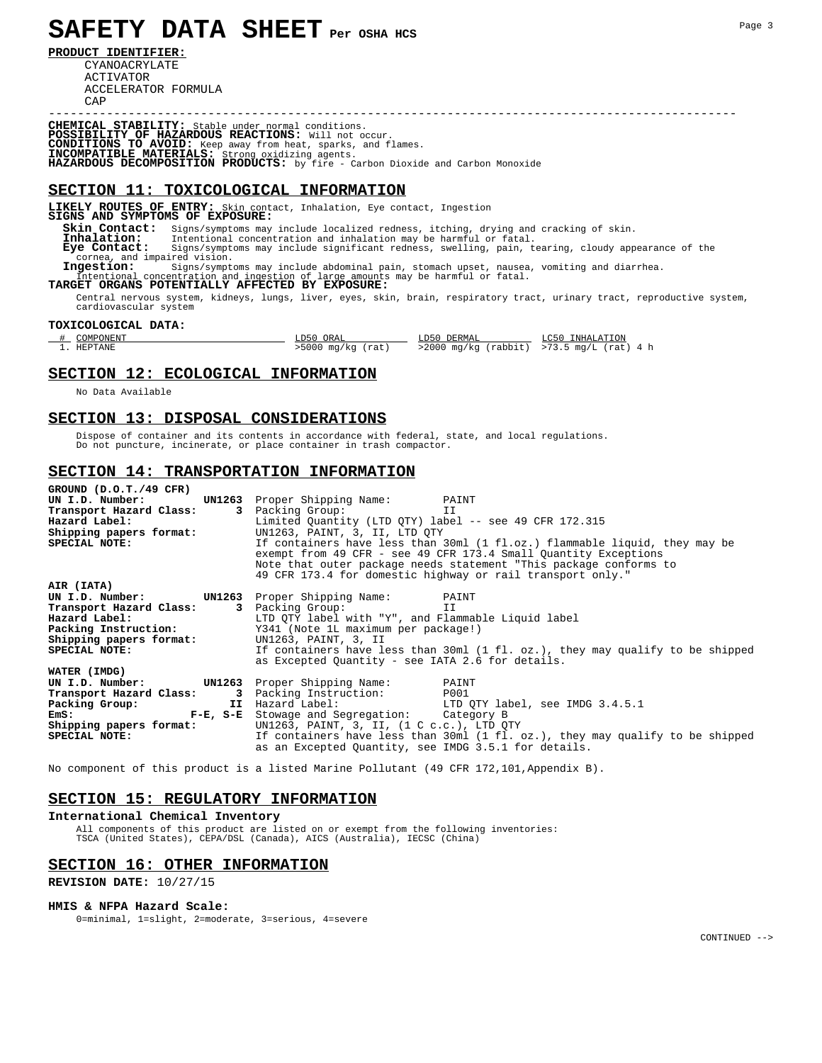**PRODUCT IDENTIFIER:**

 CYANOACRYLATE ACTIVATOR ACCELERATOR FORMULA  $CAD$ 

**CHEMICAL STABILITY:** Stable under normal conditions. **POSSIBILITY OF HAZARDOUS REACTIONS:** Will not occur. **CONDITIONS TO AVOID:** Keep away from heat, sparks, and flames. **INCOMPATIBLE MATERIALS:** Strong oxidizing agents. **HAZARDOUS DECOMPOSITION PRODUCTS:** by fire - Carbon Dioxide and Carbon Monoxide

### **SECTION 11: TOXICOLOGICAL INFORMATION**

**LIKELY ROUTES OF ENTRY:** Skin contact, Inhalation, Eye contact, Ingestion **SIGNS AND SYMPTOMS OF EXPOSURE:**

 **Skin Contact:** Signs/symptoms may include localized redness, itching, drying and cracking of skin.  **Inhalation:** Intentional concentration and inhalation may be harmful or fatal. **Eye Contact:** Signs/symptoms may include significant redness, swelling, pain, tearing, cloudy appearance of the cornea, and impaired vision.<br> **Ingestion:** Signs/symptoms may include abdominal pain, stomach upset, nausea, and impaired vision. Signs/symptoms may include abdominal pain, stomach upset, nausea, vomiting and diarrhea.<br>centration and ingestion of large amounts may be harmful or fatal. Intentional concentration and ingestion of large amounts may be harmful or fatal. **TARGET ORGANS POTENTIALLY AFFECTED BY EXPOSURE:**

 Central nervous system, kidneys, lungs, liver, eyes, skin, brain, respiratory tract, urinary tract, reproductive system, cardiovascular system

-----------------------------------------------------------------------------------------------

### **TOXICOLOGICAL DATA:**

| COMPONENT | LD50 ORAL           | LD50 DERMAL | LC50 INHALATION                               |
|-----------|---------------------|-------------|-----------------------------------------------|
| . HEPTANE | $>5000$ mg/kg (rat) |             | $>2000$ mg/kg (rabbit) $>73.5$ mg/L (rat) 4 h |

### **SECTION 12: ECOLOGICAL INFORMATION**

No Data Available

### **SECTION 13: DISPOSAL CONSIDERATIONS**

 Dispose of container and its contents in accordance with federal, state, and local regulations. Do not puncture, incinerate, or place container in trash compactor.

### **SECTION 14: TRANSPORTATION INFORMATION**

| GROUND (D.O.T./49 CFR)<br>UN I.D. Number:<br>Transport Hazard Class:<br>Hazard Label:<br>Shipping papers format:<br>SPECIAL NOTE:                 | UN1263 Proper Shipping Name: PAINT<br>Packing Group:<br>IJ<br>$\mathbf{3}$<br>Limited Quantity (LTD QTY) label -- see 49 CFR 172.315<br>UN1263, PAINT, 3, II, LTD OTY<br>If containers have less than 30ml (1 fl.oz.) flammable liquid, they may be<br>exempt from 49 CFR - see 49 CFR 173.4 Small Quantity Exceptions<br>Note that outer package needs statement "This package conforms to<br>49 CFR 173.4 for domestic highway or rail transport only." |
|---------------------------------------------------------------------------------------------------------------------------------------------------|-----------------------------------------------------------------------------------------------------------------------------------------------------------------------------------------------------------------------------------------------------------------------------------------------------------------------------------------------------------------------------------------------------------------------------------------------------------|
| AIR (IATA)<br>UN I.D. Number:<br>Transport Hazard Class:<br>Hazard Label:<br>Packing Instruction:<br>Shipping papers format:<br>SPECIAL NOTE:     | UN1263 Proper Shipping Name: PAINT<br>Packing Group:<br>3<br>ΙI<br>LTD QTY label with "Y", and Flammable Liquid label<br>Y341 (Note 1L maximum per package!)<br>UN1263, PAINT, 3, II<br>If containers have less than 30ml (1 fl. oz.), they may qualify to be shipped<br>as Excepted Quantity - see IATA 2.6 for details.                                                                                                                                 |
| WATER (IMDG)<br>UN I.D. Number:<br>Transport Hazard Class:<br>Packing Group:<br>$F-E$ , $S-E$<br>EmS:<br>Shipping papers format:<br>SPECIAL NOTE: | <b>UN1263</b> Proper Shipping Name:<br>PAINT<br>Packing Instruction: P001<br>3<br>LTD QTY label, see IMDG 3.4.5.1<br>II Hazard Label:<br>Stowage and Segregation: Category B<br>UN1263, PAINT, 3, II, (1 C c.c.), LTD OTY<br>If containers have less than 30ml (1 fl. oz.), they may qualify to be shipped<br>as an Excepted Quantity, see IMDG 3.5.1 for details.                                                                                        |

No component of this product is a listed Marine Pollutant (49 CFR 172,101,Appendix B).

### **SECTION 15: REGULATORY INFORMATION**

### **International Chemical Inventory**

 All components of this product are listed on or exempt from the following inventories: TSCA (United States), CEPA/DSL (Canada), AICS (Australia), IECSC (China)

### **SECTION 16: OTHER INFORMATION**

**REVISION DATE:** 10/27/15

### **HMIS & NFPA Hazard Scale:**

0=minimal, 1=slight, 2=moderate, 3=serious, 4=severe